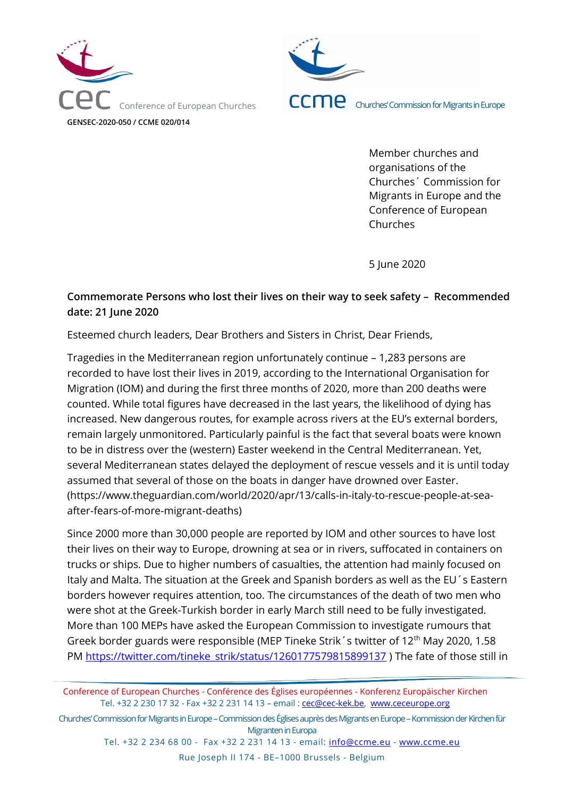



Member churches and organisations of the Churches´ Commission for Migrants in Europe and the Conference of European Churches

5 June 2020

## **Commemorate Persons who lost their lives on their way to seek safety – Recommended date: 21 June 2020**

Esteemed church leaders, Dear Brothers and Sisters in Christ, Dear Friends,

Tragedies in the Mediterranean region unfortunately continue – 1,283 persons are recorded to have lost their lives in 2019, according to the International Organisation for Migration (IOM) and during the first three months of 2020, more than 200 deaths were counted. While total figures have decreased in the last years, the likelihood of dying has increased. New dangerous routes, for example across rivers at the EU's external borders, remain largely unmonitored. Particularly painful is the fact that several boats were known to be in distress over the (western) Easter weekend in the Central Mediterranean. Yet, several Mediterranean states delayed the deployment of rescue vessels and it is until today assumed that several of those on the boats in danger have drowned over Easter. (https://www.theguardian.com/world/2020/apr/13/calls-in-italy-to-rescue-people-at-seaafter-fears-of-more-migrant-deaths)

Since 2000 more than 30,000 people are reported by IOM and other sources to have lost their lives on their way to Europe, drowning at sea or in rivers, suffocated in containers on trucks or ships. Due to higher numbers of casualties, the attention had mainly focused on Italy and Malta. The situation at the Greek and Spanish borders as well as the EU´s Eastern borders however requires attention, too. The circumstances of the death of two men who were shot at the Greek-Turkish border in early March still need to be fully investigated. More than 100 MEPs have asked the European Commission to investigate rumours that Greek border guards were responsible (MEP Tineke Strik's twitter of 12<sup>th</sup> May 2020, 1.58 PM [https://twitter.com/tineke\\_strik/status/1260177579815899137](https://twitter.com/tineke_strik/status/1260177579815899137) ) The fate of those still in

Conference of European Churches - Conférence des Églises européennes - Konferenz Europäischer Kirchen Tel. +32 2 230 17 32 - Fax +32 2 231 14 13 – email : [cec@cec-kek.be,](mailto:cec@cec-kek.be) [www.ceceurope.org](http://www.ceceurope.org/)

Churches' Commission for Migrants in Europe –Commission des Églises auprès des Migrants en Europe –Kommission der Kirchen für Migranten in Europa

Tel. +32 2 234 68 00 - Fax +32 2 231 14 13 - email: [info@ccme.eu](mailto:info@ccme.eu) - [www.ccme.eu](http://www.ccme.eu/) Rue Joseph II 174 - BE–1000 Brussels - Belgium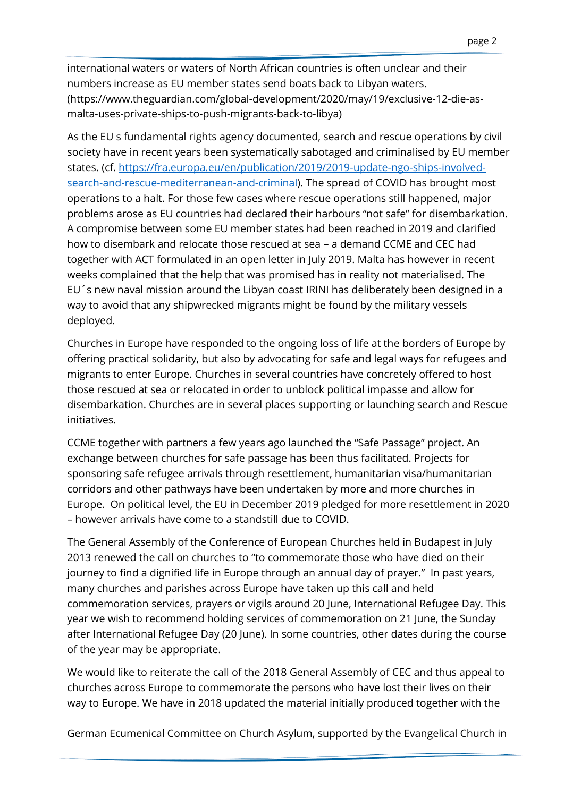international waters or waters of North African countries is often unclear and their numbers increase as EU member states send boats back to Libyan waters. (https://www.theguardian.com/global-development/2020/may/19/exclusive-12-die-asmalta-uses-private-ships-to-push-migrants-back-to-libya)

As the EU s fundamental rights agency documented, search and rescue operations by civil society have in recent years been systematically sabotaged and criminalised by EU member states. (cf. [https://fra.europa.eu/en/publication/2019/2019-update-ngo-ships-involved](https://fra.europa.eu/en/publication/2019/2019-update-ngo-ships-involved-search-and-rescue-mediterranean-and-criminal)[search-and-rescue-mediterranean-and-criminal\)](https://fra.europa.eu/en/publication/2019/2019-update-ngo-ships-involved-search-and-rescue-mediterranean-and-criminal). The spread of COVID has brought most operations to a halt. For those few cases where rescue operations still happened, major problems arose as EU countries had declared their harbours "not safe" for disembarkation. A compromise between some EU member states had been reached in 2019 and clarified how to disembark and relocate those rescued at sea – a demand CCME and CEC had together with ACT formulated in an open letter in July 2019. Malta has however in recent weeks complained that the help that was promised has in reality not materialised. The EU´s new naval mission around the Libyan coast IRINI has deliberately been designed in a way to avoid that any shipwrecked migrants might be found by the military vessels deployed.

Churches in Europe have responded to the ongoing loss of life at the borders of Europe by offering practical solidarity, but also by advocating for safe and legal ways for refugees and migrants to enter Europe. Churches in several countries have concretely offered to host those rescued at sea or relocated in order to unblock political impasse and allow for disembarkation. Churches are in several places supporting or launching search and Rescue initiatives.

CCME together with partners a few years ago launched the "Safe Passage" project. An exchange between churches for safe passage has been thus facilitated. Projects for sponsoring safe refugee arrivals through resettlement, humanitarian visa/humanitarian corridors and other pathways have been undertaken by more and more churches in Europe. On political level, the EU in December 2019 pledged for more resettlement in 2020 – however arrivals have come to a standstill due to COVID.

The General Assembly of the Conference of European Churches held in Budapest in July 2013 renewed the call on churches to "to commemorate those who have died on their journey to find a dignified life in Europe through an annual day of prayer." In past years, many churches and parishes across Europe have taken up this call and held commemoration services, prayers or vigils around 20 June, International Refugee Day. This year we wish to recommend holding services of commemoration on 21 June, the Sunday after International Refugee Day (20 June). In some countries, other dates during the course of the year may be appropriate.

We would like to reiterate the call of the 2018 General Assembly of CEC and thus appeal to churches across Europe to commemorate the persons who have lost their lives on their way to Europe. We have in 2018 updated the material initially produced together with the

German Ecumenical Committee on Church Asylum, supported by the Evangelical Church in